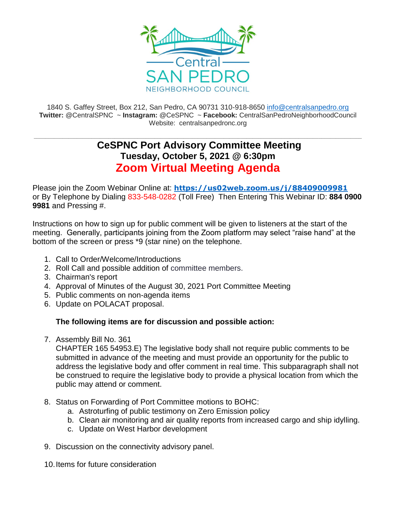

1840 S. Gaffey Street, Box 212, San Pedro, CA 90731 310-918-8650 [info@centralsanpedro.org](mailto:info@centralsanpedro.org) **Twitter:** @CentralSPNC ~ **Instagram:** @CeSPNC ~ **Facebook:** CentralSanPedroNeighborhoodCouncil Website: centralsanpedronc.org

## **\_\_\_\_\_\_\_\_\_\_\_\_\_\_\_\_\_\_\_\_\_\_\_\_\_\_\_\_\_\_\_\_\_\_\_\_\_\_\_\_\_\_\_\_\_\_\_\_\_\_\_\_\_\_\_\_\_\_\_\_\_\_\_\_\_\_\_\_\_\_\_\_\_\_\_\_\_\_\_\_\_\_\_\_\_\_\_\_\_\_\_\_\_\_\_\_\_\_\_\_\_\_\_\_\_\_\_\_\_\_\_\_\_\_ CeSPNC Port Advisory Committee Meeting Tuesday, October 5, 2021 @ 6:30pm Zoom Virtual Meeting Agenda**

Please join the Zoom Webinar Online at: **<https://us02web.zoom.us/j/88409009981>** or By Telephone by Dialing 833-548-0282 (Toll Free) Then Entering This Webinar ID: **884 0900 9981** and Pressing #.

Instructions on how to sign up for public comment will be given to listeners at the start of the meeting. Generally, participants joining from the Zoom platform may select "raise hand" at the bottom of the screen or press \*9 (star nine) on the telephone.

- 1. Call to Order/Welcome/Introductions
- 2. Roll Call and possible addition of committee members.
- 3. Chairman's report
- 4. Approval of Minutes of the August 30, 2021 Port Committee Meeting
- 5. Public comments on non-agenda items
- 6. Update on POLACAT proposal.

## **The following items are for discussion and possible action:**

7. Assembly Bill No. 361

CHAPTER 165 54953.E) The legislative body shall not require public comments to be submitted in advance of the meeting and must provide an opportunity for the public to address the legislative body and offer comment in real time. This subparagraph shall not be construed to require the legislative body to provide a physical location from which the public may attend or comment.

- 8. Status on Forwarding of Port Committee motions to BOHC:
	- a. Astroturfing of public testimony on Zero Emission policy
	- b. Clean air monitoring and air quality reports from increased cargo and ship idylling.
	- c. Update on West Harbor development
- 9. Discussion on the connectivity advisory panel.
- 10.Items for future consideration